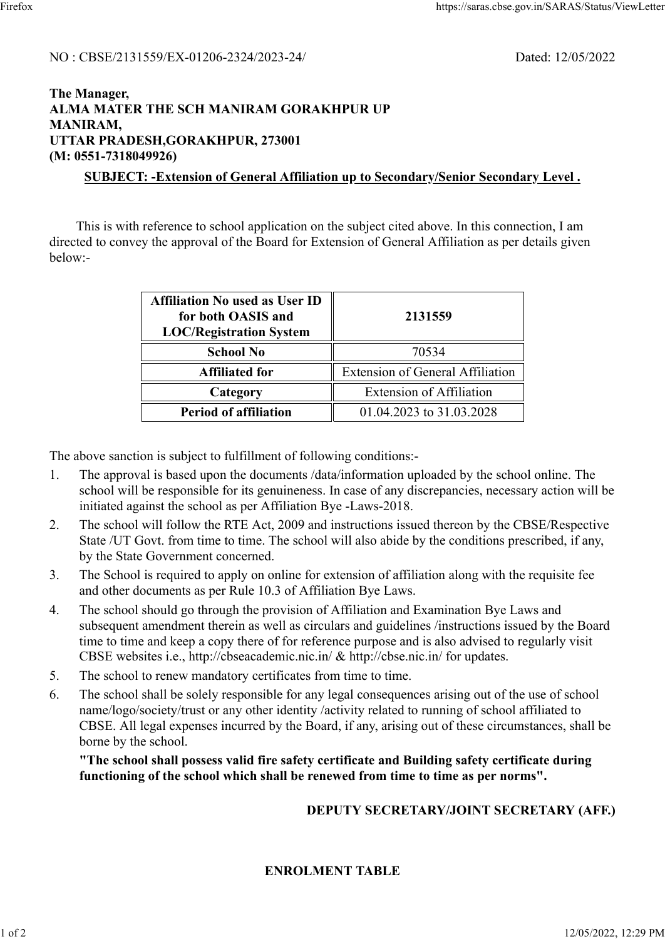#### NO : CBSE/2131559/EX-01206-2324/2023-24/ Dated: 12/05/2022

### **The Manager, ALMA MATER THE SCH MANIRAM GORAKHPUR UP MANIRAM, UTTAR PRADESH,GORAKHPUR, 273001 (M: 0551-7318049926) SUBJECT: -Extension of General Affiliation up to Secondary/Senior Secondary Level .**

 This is with reference to school application on the subject cited above. In this connection, I am directed to convey the approval of the Board for Extension of General Affiliation as per details given below:-

| <b>Affiliation No used as User ID</b><br>for both OASIS and<br><b>LOC/Registration System</b> | 2131559<br>70534                        |  |
|-----------------------------------------------------------------------------------------------|-----------------------------------------|--|
| <b>School No</b>                                                                              |                                         |  |
| <b>Affiliated for</b>                                                                         | <b>Extension of General Affiliation</b> |  |
| Category                                                                                      | <b>Extension of Affiliation</b>         |  |
| <b>Period of affiliation</b>                                                                  | 01.04.2023 to 31.03.2028                |  |

The above sanction is subject to fulfillment of following conditions:-

- 1. The approval is based upon the documents /data/information uploaded by the school online. The school will be responsible for its genuineness. In case of any discrepancies, necessary action will be initiated against the school as per Affiliation Bye -Laws-2018.
- 2. The school will follow the RTE Act, 2009 and instructions issued thereon by the CBSE/Respective State /UT Govt. from time to time. The school will also abide by the conditions prescribed, if any, by the State Government concerned.
- 3. The School is required to apply on online for extension of affiliation along with the requisite fee and other documents as per Rule 10.3 of Affiliation Bye Laws.
- 4. The school should go through the provision of Affiliation and Examination Bye Laws and subsequent amendment therein as well as circulars and guidelines /instructions issued by the Board time to time and keep a copy there of for reference purpose and is also advised to regularly visit CBSE websites i.e., http://cbseacademic.nic.in/ & http://cbse.nic.in/ for updates.
- 5. The school to renew mandatory certificates from time to time.
- 6. The school shall be solely responsible for any legal consequences arising out of the use of school name/logo/society/trust or any other identity /activity related to running of school affiliated to CBSE. All legal expenses incurred by the Board, if any, arising out of these circumstances, shall be borne by the school.

**"The school shall possess valid fire safety certificate and Building safety certificate during functioning of the school which shall be renewed from time to time as per norms".**

# **DEPUTY SECRETARY/JOINT SECRETARY (AFF.)**

# **ENROLMENT TABLE**